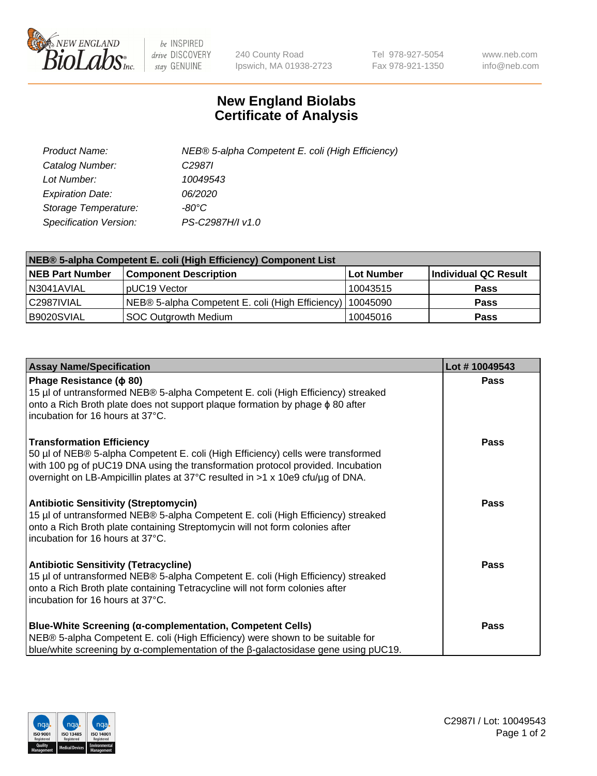

 $be$  INSPIRED drive DISCOVERY stay GENUINE

240 County Road Ipswich, MA 01938-2723 Tel 978-927-5054 Fax 978-921-1350 www.neb.com info@neb.com

## **New England Biolabs Certificate of Analysis**

| Product Name:           | NEB® 5-alpha Competent E. coli (High Efficiency) |
|-------------------------|--------------------------------------------------|
| Catalog Number:         | C <sub>2987</sub>                                |
| Lot Number:             | 10049543                                         |
| <b>Expiration Date:</b> | <i>06/2020</i>                                   |
| Storage Temperature:    | -80°C                                            |
| Specification Version:  | PS-C2987H/I v1.0                                 |

| NEB® 5-alpha Competent E. coli (High Efficiency) Component List |                                                  |                   |                      |  |
|-----------------------------------------------------------------|--------------------------------------------------|-------------------|----------------------|--|
| <b>NEB Part Number</b>                                          | <b>Component Description</b>                     | <b>Lot Number</b> | Individual QC Result |  |
| N3041AVIAL                                                      | pUC19 Vector                                     | 10043515          | <b>Pass</b>          |  |
| C2987IVIAL                                                      | NEB® 5-alpha Competent E. coli (High Efficiency) | 10045090          | <b>Pass</b>          |  |
| B9020SVIAL                                                      | <b>SOC Outgrowth Medium</b>                      | 10045016          | <b>Pass</b>          |  |

| <b>Assay Name/Specification</b>                                                                                                                                                                                                                                                           | Lot #10049543 |
|-------------------------------------------------------------------------------------------------------------------------------------------------------------------------------------------------------------------------------------------------------------------------------------------|---------------|
| Phage Resistance ( $\phi$ 80)<br>15 µl of untransformed NEB® 5-alpha Competent E. coli (High Efficiency) streaked<br>onto a Rich Broth plate does not support plaque formation by phage $\phi$ 80 after<br>incubation for 16 hours at 37°C.                                               | <b>Pass</b>   |
| <b>Transformation Efficiency</b><br>50 µl of NEB® 5-alpha Competent E. coli (High Efficiency) cells were transformed<br>with 100 pg of pUC19 DNA using the transformation protocol provided. Incubation<br>overnight on LB-Ampicillin plates at 37°C resulted in >1 x 10e9 cfu/µg of DNA. | <b>Pass</b>   |
| <b>Antibiotic Sensitivity (Streptomycin)</b><br>15 µl of untransformed NEB® 5-alpha Competent E. coli (High Efficiency) streaked<br>onto a Rich Broth plate containing Streptomycin will not form colonies after<br>incubation for 16 hours at 37°C.                                      | Pass          |
| <b>Antibiotic Sensitivity (Tetracycline)</b><br>15 µl of untransformed NEB® 5-alpha Competent E. coli (High Efficiency) streaked<br>onto a Rich Broth plate containing Tetracycline will not form colonies after<br>incubation for 16 hours at 37°C.                                      | Pass          |
| Blue-White Screening (α-complementation, Competent Cells)<br>NEB® 5-alpha Competent E. coli (High Efficiency) were shown to be suitable for<br>blue/white screening by $\alpha$ -complementation of the $\beta$ -galactosidase gene using pUC19.                                          | Pass          |